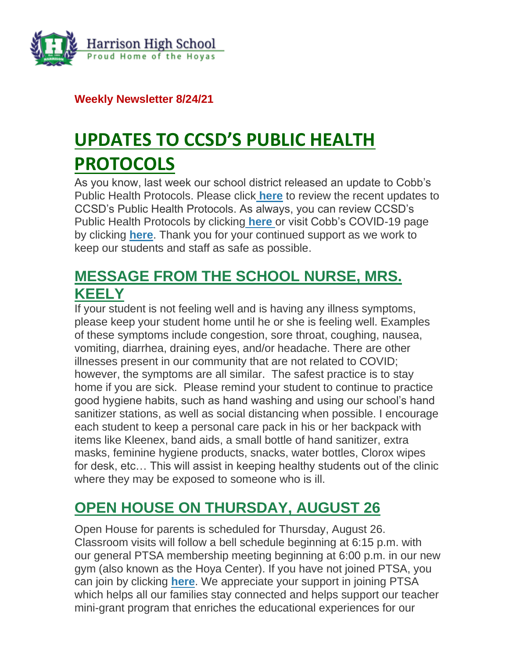

**Weekly Newsletter 8/24/21**

# **UPDATES TO CCSD'S PUBLIC HEALTH PROTOCOLS**

As you know, last week our school district released an update to Cobb's Public Health Protocols. Please click **[here](http://url503.cobbk12.org/ls/click?upn=oq5wnnHoD1NAxpT8rNAGXCNvR2E3rqz5lLRrOF56wksk40nL4Aczh8naXlXG-2BZ45HosZ_W-2BfLYUoUwwI1tuGClKRhhPOSepcZIFoXnUIMjiA717kQ1i13BNQTwwJ9cl-2BWArXrjMDzmdYDAz26vF1M-2BNMQluQruQ2-2F6ad1LvcMTsaAKq0CXTWt15JCS2R2WiNCTVPcH3c8p64YnPXMoAUBYfAIOt1Ch-2F5qfZw6hlgIArg0xYchBWDJDhNNgbXEAUOcJ6oy6QhhOw0cgAQnfidwMrT3J2ojUAxiU6vAaqNPRtmQY5XutpgeAl35jnsFtl7RUM5EIpGHk9CrBptXeuaU7smVFA-3D-3D)** to review the recent updates to CCSD's Public Health Protocols. As always, you can review CCSD's Public Health Protocols by clicking **[here](http://url503.cobbk12.org/ls/click?upn=oq5wnnHoD1NAxpT8rNAGXLeSSs2oqQ-2BhsGA3S2Aoidl5Xb0pkiKKQn-2Bcl-2FKt514c-2BpCocGLroP5WxR8tNWOFTAKIMOswQcArf2QU6do8q9V1m-2F0jhShpvqH3yUhtc7e51zhS_W-2BfLYUoUwwI1tuGClKRhhPOSepcZIFoXnUIMjiA717kQ1i13BNQTwwJ9cl-2BWArXrjMDzmdYDAz26vF1M-2BNMQluQruQ2-2F6ad1LvcMTsaAKq0CXTWt15JCS2R2WiNCTVPc17hE-2FiGNGnor-2F-2BcGKOyFpAw9VsiUGUOF7bbHfTaYYdoQSnLz6uuBWdwvbf-2BHCHRBayHcAxSRSKC1s4nWgKWFRiT0nB377hYi4B8vUYKDvxUzrFmlvgKuSn9fzIikVFnfBe-2F2kr0zGNHES-2BXEscg5nw-3D-3D)** or visit Cobb's COVID-19 page by clicking **[here](http://url503.cobbk12.org/ls/click?upn=kYpeu9rJVSU1acS4VG0V9dP8zXnygu7Up5qBE7usQ1jRmGDEuj6uzT9FPcnvQys9X5dnPemZru5Ni9W9eLDPVWqdx7Y5CnPU3sDRwLFgoNVTzAJjhMxjLsC2UioVmB0zHuoWrfuFEXWnswW0YwlPlqD51mg3RcpCzMNZTC87exVClfz38ywlVLaQUk1JwbcLajZ1JM4R8LKCfkreFbkQhkED6Fd4xIBTK5G6gWHkgweGcJ3EsKiAwZzvrir1gL1-2BwlONZFUAIwrn984eNNOrrd5nDBgD8dPWy7j3H-2FrEpoZZ8bSgDS8-2FQhQmYcvYcvWGrkGi7BgwC1wj8TDjU7WoKCUkwP3ejKJZU2D9odzWyUz7rkVHVNZkp3zdWAOGqn9XDef8sAKqM-2Bz9rJP-2F4VH0dIMDbfp-2Bcznr9SRnSA58K5Gk9gaaltBqD3ROJ9oZsckFbIRk9g0JGLVPoxxjh0lD0OdR1oT-2B5WE2aoPOQAdEmL3IWjvIuvRPQMqPW3EoIne6V8JqSQN3wzLQeTqarvgrv45BlmLlxlT0g76YooGDPBU-3DGg28_W-2BfLYUoUwwI1tuGClKRhhPOSepcZIFoXnUIMjiA717kQ1i13BNQTwwJ9cl-2BWArXrjMDzmdYDAz26vF1M-2BNMQluQruQ2-2F6ad1LvcMTsaAKq0CXTWt15JCS2R2WiNCTVPc7l2DEmgkjQEuaovRq65iA1-2Fu8dy68H20IZ0lfLa2-2BJHCP5ID8Y-2BkOtcGkb1K-2Bq2U4oSDI8ZNBeYvUCbQSX-2Fjz2BFsjBruXoQjb3RAunHErDqOSILm79gif3tHKDerzRVQC47PKPvoEQuwlmCexPLtg-3D-3D)**. Thank you for your continued support as we work to keep our students and staff as safe as possible.

### **MESSAGE FROM THE SCHOOL NURSE, MRS. KEELY**

If your student is not feeling well and is having any illness symptoms, please keep your student home until he or she is feeling well. Examples of these symptoms include congestion, sore throat, coughing, nausea, vomiting, diarrhea, draining eyes, and/or headache. There are other illnesses present in our community that are not related to COVID; however, the symptoms are all similar. The safest practice is to stay home if you are sick. Please remind your student to continue to practice good hygiene habits, such as hand washing and using our school's hand sanitizer stations, as well as social distancing when possible. I encourage each student to keep a personal care pack in his or her backpack with items like Kleenex, band aids, a small bottle of hand sanitizer, extra masks, feminine hygiene products, snacks, water bottles, Clorox wipes for desk, etc… This will assist in keeping healthy students out of the clinic where they may be exposed to someone who is ill.

### **OPEN HOUSE ON THURSDAY, AUGUST 26**

Open House for parents is scheduled for Thursday, August 26. Classroom visits will follow a bell schedule beginning at 6:15 p.m. with our general PTSA membership meeting beginning at 6:00 p.m. in our new gym (also known as the Hoya Center). If you have not joined PTSA, you can join by clicking **[here](http://url503.cobbk12.org/ls/click?upn=kYpeu9rJVSU1acS4VG0V9dP8zXnygu7Up5qBE7usQ1gecV2TljFL8x98-2BlIBHTra483oT8HWv3BxbUy1y3g1Yb9ek7nNCXk6lG-2FBQRXGqe5cuM1PyYyBuD5z59ncIg8RQQcmz5GPI6C2rBrBOkHhk7SyCsgoy6sCPyGPwYo-2F-2Fl0PTHubx8Ep8uNFyBxj7bRgOjpEiPvDZTjAOUxD3-2FxNJt6lgmZ3XPYFkZ8sBvCK-2B-2BFqN6uISZJh0YN-2B3wfkRQXTYhgmV1iw7p4elg-2FOv-2BmU1vWJ-2BlC7Aj8qgJ6I6FOn4mXD5Rrd-2B7Dgy2AxhrU7kI4R7yiisaFUXFL-2BScqpOKfgeIH95ELnkjwtNYRXlJYDk60RlyNmiRMCaTVPCyrU-2BU2cnxcjk3M0RsJxaRO3tq2Ugbj2BBPp8JFJp8UzOaJQJm99bvSHIfPii8njCDFJ-2FuuYNRoYktMmNFLtlFaica21l-2FR-2BgwP6rTCIs0fuQMfVE0oMpy5jCLoLNixzR57wgp1r9pvoRCU7X-2Bskry3Bb78x4WhSfotXbytFEwFqiQ40JcE-3DVF6f_W-2BfLYUoUwwI1tuGClKRhhPOSepcZIFoXnUIMjiA717kQ1i13BNQTwwJ9cl-2BWArXrjMDzmdYDAz26vF1M-2BNMQluQruQ2-2F6ad1LvcMTsaAKq0CXTWt15JCS2R2WiNCTVPc9Xavh7OzI-2BU-2BSwSuKTeDbZWlCndxqe5ziA8jQOOond8V7T0Q2JJQdAuIGj-2Bzp7DWWFdMTzvH6QidBqpvjHDCAPhfRVDirkEiTV-2B4WvlWH7VVxjbrcGQxFX2iNdTwdKnbD-2BlUwe2kJnKybH5gnp6Fcw-3D-3D)**. We appreciate your support in joining PTSA which helps all our families stay connected and helps support our teacher mini-grant program that enriches the educational experiences for our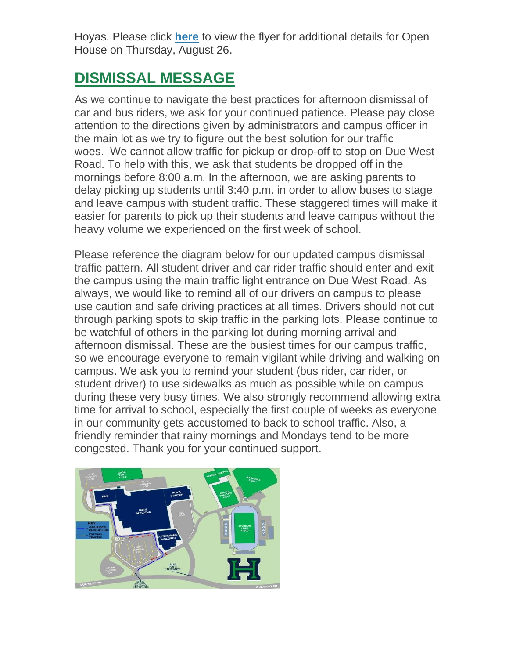Hoyas. Please click **[here](http://url503.cobbk12.org/ls/click?upn=lifxRKNE4qaF4JWLXkbAsjh7ycX9GyI4V6qRbFFivNpp-2B3syQ-2BF1CRoHOrZqfnEtQcfUXEzQ4WYketaNTGV34zs3jL5MGsQrXE2TLz8iLkM1gHcjbLjdTIy1LlJIK51n2uPQaZJZd-2FyK2tXtdzyYzg-3D-3D6j-6_W-2BfLYUoUwwI1tuGClKRhhPOSepcZIFoXnUIMjiA717kQ1i13BNQTwwJ9cl-2BWArXrjMDzmdYDAz26vF1M-2BNMQluQruQ2-2F6ad1LvcMTsaAKq0CXTWt15JCS2R2WiNCTVPcWkRaAFFfGTj4UCUkCXH0CtOpuwdd9RZvql4grHTyZIMVxkJ3KdEK18bBqlfpjhk-2BrWAYyQiyxzSJEtoc8o53DovA9HjXQNdNpKybq9k-2BbQOJCoFFW-2FvVuio8AzNaxrhyOJrUz8KfdTlpbyiYvqd1wg-3D-3D)** to view the flyer for additional details for Open House on Thursday, August 26.

### **DISMISSAL MESSAGE**

As we continue to navigate the best practices for afternoon dismissal of car and bus riders, we ask for your continued patience. Please pay close attention to the directions given by administrators and campus officer in the main lot as we try to figure out the best solution for our traffic woes. We cannot allow traffic for pickup or drop-off to stop on Due West Road. To help with this, we ask that students be dropped off in the mornings before 8:00 a.m. In the afternoon, we are asking parents to delay picking up students until 3:40 p.m. in order to allow buses to stage and leave campus with student traffic. These staggered times will make it easier for parents to pick up their students and leave campus without the heavy volume we experienced on the first week of school.

Please reference the diagram below for our updated campus dismissal traffic pattern. All student driver and car rider traffic should enter and exit the campus using the main traffic light entrance on Due West Road. As always, we would like to remind all of our drivers on campus to please use caution and safe driving practices at all times. Drivers should not cut through parking spots to skip traffic in the parking lots. Please continue to be watchful of others in the parking lot during morning arrival and afternoon dismissal. These are the busiest times for our campus traffic, so we encourage everyone to remain vigilant while driving and walking on campus. We ask you to remind your student (bus rider, car rider, or student driver) to use sidewalks as much as possible while on campus during these very busy times. We also strongly recommend allowing extra time for arrival to school, especially the first couple of weeks as everyone in our community gets accustomed to back to school traffic. Also, a friendly reminder that rainy mornings and Mondays tend to be more congested. Thank you for your continued support.

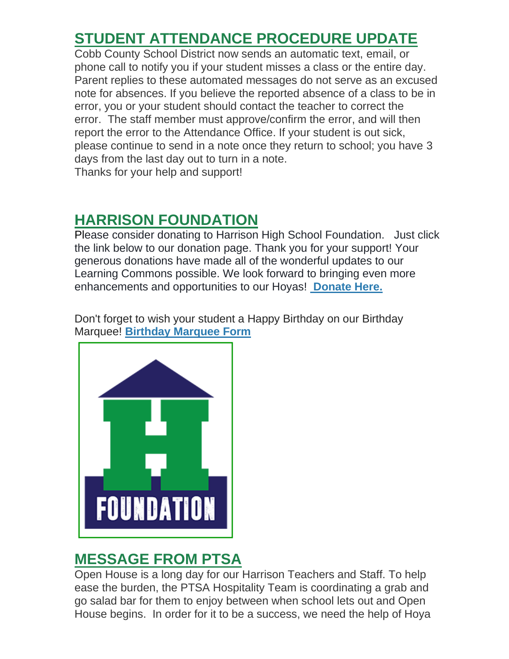### **STUDENT ATTENDANCE PROCEDURE UPDATE**

Cobb County School District now sends an automatic text, email, or phone call to notify you if your student misses a class or the entire day. Parent replies to these automated messages do not serve as an excused note for absences. If you believe the reported absence of a class to be in error, you or your student should contact the teacher to correct the error. The staff member must approve/confirm the error, and will then report the error to the Attendance Office. If your student is out sick, please continue to send in a note once they return to school; you have 3 days from the last day out to turn in a note. Thanks for your help and support!

### **HARRISON FOUNDATION**

Please consider donating to Harrison High School Foundation. Just click the link below to our donation page. Thank you for your support! Your generous donations have made all of the wonderful updates to our Learning Commons possible. We look forward to bringing even more enhancements and opportunities to our Hoyas! **[Donate Here.](http://url503.cobbk12.org/ls/click?upn=Q-2BKaVIKfS2AqG1NntRWXIuucmBLXHt0VTW51eWbEyXA9vECQY59-2B780kb-2FbreNPOEKe8lsI4uWP1Ku4nVNI6n9ZM-2Bf6t8k2Mf60kGEl-2BbB6n-2Bcw5TNbA1LOGstYOS0LuCZVTkfICdBZjtkBUUiJMf5XkmYZMQKWt7xXjslumnkcAJMCLQEclgUwqjiYMyN3-2FRHHaTAekXZpbW4gR3l4eo1kFOLd-2FxeBPLFOQz6H8viVWYuSSTnSg2Ujd1KIxs4frbqRWBdvhKUjNFTzHnuuVXtpUBgfMaZFGc1HrcbaqeORqBPRhDAxwktdpUOMlxk-2B9CEMU-2BK6J3OoueRbBluxh-2BIlHnXLF5fvUM3GJ-2B6UQR9YCPwImSqabB7d9HLmQlBJuhghhHAD1N7m8BEd0mmaTzHrDE6rG4vlXbE-2B32Fd-2B2bHRByO3-2Bp-2B3Q1PjoiD8h3qubaJQdI-2BhGjgkumhEEycAPQ-3D-3D8uup_W-2BfLYUoUwwI1tuGClKRhhPOSepcZIFoXnUIMjiA717kQ1i13BNQTwwJ9cl-2BWArXrjMDzmdYDAz26vF1M-2BNMQluQruQ2-2F6ad1LvcMTsaAKq0CXTWt15JCS2R2WiNCTVPcnA4KF8nVjYWnZByyc7XTZfMIHQac3cddcVHsyzWrphjcAGsXKEBaNuNpjVjTaANPzjwb6g7l6HCpl7Q5xzCRHBIRo-2FIecAVRxMIyH5gliotl9B9kvGa19hg9W0PQP4DW7JC5yk8J-2FqGeO0E-2F4u0miw-3D-3D)**

Don't forget to wish your student a Happy Birthday on our Birthday Marquee! **[Birthday Marquee Form](http://url503.cobbk12.org/ls/click?upn=Q-2BKaVIKfS2AqG1NntRWXIuucmBLXHt0VTW51eWbEyXA9vECQY59-2B780kb-2FbreNPOEKe8lsI4uWP1Ku4nVNI6n9ZM-2Bf6t8k2Mf60kGEl-2BbB6n-2Bcw5TNbA1LOGstYOS0LuCZVTkfICdBZjtkBUUiJMf5XkmYZMQKWt7xXjslumnkcAJMCLQEclgUwqjiYMyN3-2FRHHaTAekXZpbW4gR3l4eo1kFOLd-2FxeBPLFOQz6H8viVWYuSSTnSg2Ujd1KIxs4frbqRWBdvhKUjNFTzHnuuVXtpUBgfMaZFGc1HrcbaqeORqBPRhDAxwktdpUOMlxk-2B9CEMU-2BK6J3OoueRbBluxh-2BIlHnXLF5fvUM3GJ-2B6UQR9YCPwImSqabB7d9HLmQlBJuhghhHAD1N7m8BEd0mmaTzHrDE6rG4vlXbE-2B32Fd-2B2bHRByO3-2Bp-2B3Q1PjoiD8h3qubaJQdI-2BhGjgkumhEEycAPQ-3D-3DmMQm_W-2BfLYUoUwwI1tuGClKRhhPOSepcZIFoXnUIMjiA717kQ1i13BNQTwwJ9cl-2BWArXrjMDzmdYDAz26vF1M-2BNMQluQruQ2-2F6ad1LvcMTsaAKq0CXTWt15JCS2R2WiNCTVPcrLyTuuz6VO8r3wswDgqQhmFHWOiLnxUBSuAe3AbslXEYZfULTDuSLl-2Fa-2F3RIMg1phT5v-2F6tHChK0-2BqXvddEQsJLALNwAa1GuY2UQSnYR7vjU8ZY-2BHN8dbkOHx6UTYu-2FzxkS-2BKyAX6FvTHKxMvPlv-2Bw-3D-3D)**



### **MESSAGE FROM PTSA**

Open House is a long day for our Harrison Teachers and Staff. To help ease the burden, the PTSA Hospitality Team is coordinating a grab and go salad bar for them to enjoy between when school lets out and Open House begins. In order for it to be a success, we need the help of Hoya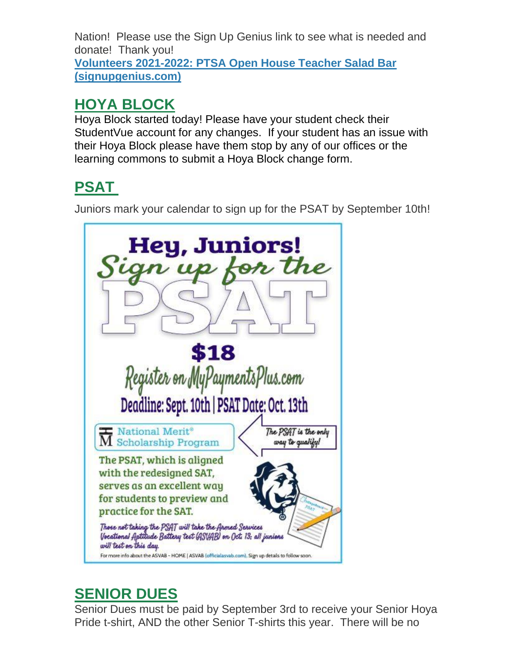Nation! Please use the Sign Up Genius link to see what is needed and donate! Thank you! **[Volunteers 2021-2022: PTSA Open House Teacher Salad Bar](http://url503.cobbk12.org/ls/click?upn=Q-2BKaVIKfS2AqG1NntRWXIqe3VLrAF6HtQZXW1Eop37-2BHD1-2FJeBI8RcsNCzxppcBz0DlAzN5HVHa4jFBsYhEq-2FTtx4F3uDw8i0Et4Ko14jOyvmI1H-2BAf5gG-2FKDqhzv-2BKLCWwno-2FakN55PshkPrF06wmC6mPfS2hi0Z5h9WmRcCXgIFHoxpCOEooHH7Z8QQLNVKU42G5ZzZVDodx3cLm3CsfKxNRSV2GM-2BCyB6aSn2YGBq01T3uwBTo5MgH2nBr9uRjgO-2Bc8diElvbkGgj-2B-2BPB4Nk-2BY-2FEyRVqf4aJFEY-2Fi82hCRX-2BWznhkmqXU5ErOGJQGnwBVxhtXEDv7spSenGS4NDBensm4Gm5aohCgcbSg8hDmDT-2Fzel0zoDJ7DIo4nAjBYgesQ-2BNiR1uWfHPRfmM-2FA76ZHgW882t4O8mpCaZD7bdJqkB1loy3nLMTpyOx9cq47oLx5YgH26PJvMYVuAWyXzsbEXeQBv3LJkIDGRonBvsaO-2BDuatIxwNmh6D2TZSvI-2B5zEIWP9nGzRIKS38CeoGG9DmWkiVIjBOlyQ8GAfVCMXAse5nYoXG0kpjgewACNYp9c4lye-2Fjr5f9Xc8X-2FdYEQ-3D-3DEuKp_W-2BfLYUoUwwI1tuGClKRhhPOSepcZIFoXnUIMjiA717kQ1i13BNQTwwJ9cl-2BWArXrjMDzmdYDAz26vF1M-2BNMQluQruQ2-2F6ad1LvcMTsaAKq0CXTWt15JCS2R2WiNCTVPc1CE8IEsxEueaXMrRS3RskgrHMRbTF0GgmdBLPzW7kyzEpqDebx-2BpeeNN9uzp9dBrzgPT2q9lewvRjoAfZ-2FDWbVTo3MjbWsPi55Vb7Ii7zwavFZ0LIfv70ndF5mi-2FBKVlF1lYwZQtW2mHXXtqWWy1ig-3D-3D)  [\(signupgenius.com\)](http://url503.cobbk12.org/ls/click?upn=Q-2BKaVIKfS2AqG1NntRWXIqe3VLrAF6HtQZXW1Eop37-2BHD1-2FJeBI8RcsNCzxppcBz0DlAzN5HVHa4jFBsYhEq-2FTtx4F3uDw8i0Et4Ko14jOyvmI1H-2BAf5gG-2FKDqhzv-2BKLCWwno-2FakN55PshkPrF06wmC6mPfS2hi0Z5h9WmRcCXgIFHoxpCOEooHH7Z8QQLNVKU42G5ZzZVDodx3cLm3CsfKxNRSV2GM-2BCyB6aSn2YGBq01T3uwBTo5MgH2nBr9uRjgO-2Bc8diElvbkGgj-2B-2BPB4Nk-2BY-2FEyRVqf4aJFEY-2Fi82hCRX-2BWznhkmqXU5ErOGJQGnwBVxhtXEDv7spSenGS4NDBensm4Gm5aohCgcbSg8hDmDT-2Fzel0zoDJ7DIo4nAjBYgesQ-2BNiR1uWfHPRfmM-2FA76ZHgW882t4O8mpCaZD7bdJqkB1loy3nLMTpyOx9cq47oLx5YgH26PJvMYVuAWyXzsbEXeQBv3LJkIDGRonBvsaO-2BDuatIxwNmh6D2TZSvI-2B5zEIWP9nGzRIKS38CeoGG9DmWkiVIjBOlyQ8GAfVCMXAse5nYoXG0kpjgewACNYp9c4lye-2Fjr5f9Xc8X-2FdYEQ-3D-3DEuKp_W-2BfLYUoUwwI1tuGClKRhhPOSepcZIFoXnUIMjiA717kQ1i13BNQTwwJ9cl-2BWArXrjMDzmdYDAz26vF1M-2BNMQluQruQ2-2F6ad1LvcMTsaAKq0CXTWt15JCS2R2WiNCTVPc1CE8IEsxEueaXMrRS3RskgrHMRbTF0GgmdBLPzW7kyzEpqDebx-2BpeeNN9uzp9dBrzgPT2q9lewvRjoAfZ-2FDWbVTo3MjbWsPi55Vb7Ii7zwavFZ0LIfv70ndF5mi-2FBKVlF1lYwZQtW2mHXXtqWWy1ig-3D-3D)**

### **HOYA BLOCK**

Hoya Block started today! Please have your student check their StudentVue account for any changes. If your student has an issue with their Hoya Block please have them stop by any of our offices or the learning commons to submit a Hoya Block change form.

## **PSAT**

Juniors mark your calendar to sign up for the PSAT by September 10th!



### **SENIOR DUES**

Senior Dues must be paid by September 3rd to receive your Senior Hoya Pride t-shirt, AND the other Senior T-shirts this year. There will be no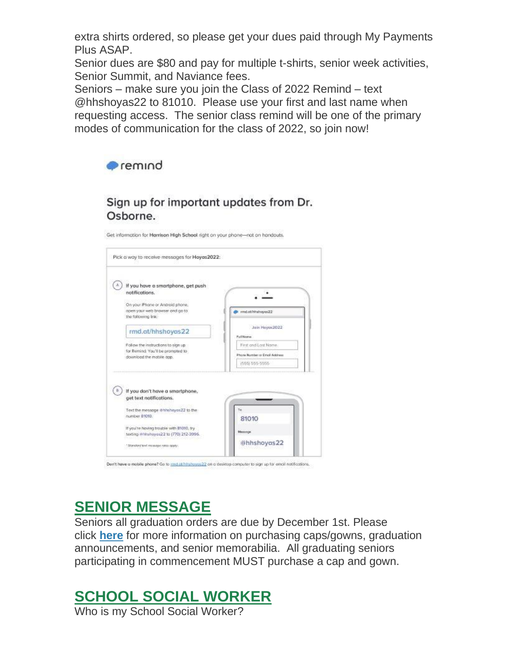extra shirts ordered, so please get your dues paid through My Payments Plus ASAP.

Senior dues are \$80 and pay for multiple t-shirts, senior week activities, Senior Summit, and Naviance fees.

Seniors – make sure you join the Class of 2022 Remind – text @hhshoyas22 to 81010. Please use your first and last name when requesting access. The senior class remind will be one of the primary modes of communication for the class of 2022, so join now!



#### Sign up for important updates from Dr. Osborne.

Get information for Harrison High School right on your phone-not on handouts.

| If you have a smartphone, get push                                                                   |                               |
|------------------------------------------------------------------------------------------------------|-------------------------------|
| notifications.                                                                                       |                               |
| On your iPhone or Android phone,                                                                     |                               |
| open your web browser and go to<br>the following link:                                               | md.ob/hhshoyas22              |
|                                                                                                      | Join Hoyax2022                |
| rmd.at/hhshoyas22                                                                                    | Full Nome                     |
| Follow the instructions to sign up:<br>for Remind. You'll be prompted to<br>download the mabile app. | First and Lost Name.          |
|                                                                                                      | Phone Number or Email Address |
|                                                                                                      | (555) 555-5555                |
| If you don't have a smartphone,<br>get text notifications.                                           |                               |
|                                                                                                      |                               |
| Text the message @hhshoyas22 to the<br>number 81010.                                                 | te.                           |
|                                                                                                      | 81010                         |
| If you're hoving trouble with 81010, by                                                              | Measons                       |
| texting Althshoyas22 to (770) 212-3996.                                                              |                               |

#### Den't have a mobile phone? Go to multabhirate ani22 on a desidep computer to sign up for email netifications.

### **SENIOR MESSAGE**

Seniors all graduation orders are due by December 1st. Please click **[here](http://url503.cobbk12.org/ls/click?upn=LUI-2F8f4xtojWZMZFKeeLxq3XJOMTwPc42al5rUMTaApWiJzZ7XqaKh-2Fxb94YaFGqQDvlTI2B51Vw4Bc-2FDHkYsmUsZUICwaUhgYP7AnghzVo-3Dv8Gb_W-2BfLYUoUwwI1tuGClKRhhPOSepcZIFoXnUIMjiA717kQ1i13BNQTwwJ9cl-2BWArXrjMDzmdYDAz26vF1M-2BNMQluQruQ2-2F6ad1LvcMTsaAKq0CXTWt15JCS2R2WiNCTVPcGeY5uPbUlWzzqkpujSkPXP3Ry2IAE5NKLgMrxB1f-2FAgwWzAZdYmskJiJeeU50DIOGLG0RmYnoawMSV6pL9pIhrbIXDrTys-2FxVT3u3Cg4pgIWYrmvHVanicPNYPrh47nIkEWQoY1avnOAAvMgZRYV-2BQ-3D-3D)** for more information on purchasing caps/gowns, graduation announcements, and senior memorabilia. All graduating seniors participating in commencement MUST purchase a cap and gown.

### **SCHOOL SOCIAL WORKER**

Who is my School Social Worker?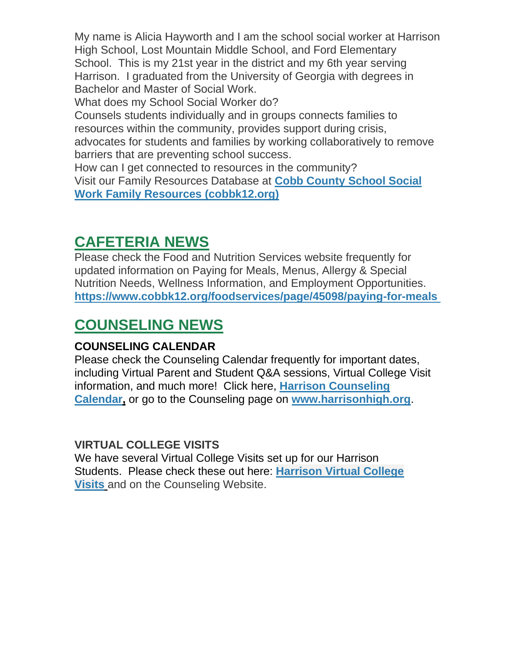My name is Alicia Hayworth and I am the school social worker at Harrison High School, Lost Mountain Middle School, and Ford Elementary School. This is my 21st year in the district and my 6th year serving Harrison. I graduated from the University of Georgia with degrees in Bachelor and Master of Social Work.

What does my School Social Worker do?

Counsels students individually and in groups connects families to resources within the community, provides support during crisis, advocates for students and families by working collaboratively to remove barriers that are preventing school success.

How can I get connected to resources in the community? Visit our Family Resources Database at **[Cobb County School Social](http://url503.cobbk12.org/ls/click?upn=oq5wnnHoD1NAxpT8rNAGXLeSSs2oqQ-2BhsGA3S2Aoidmz-2B7OaFU58f0-2FcZrjxUI5SW89VV8ofs0TP7-2B1A8wnqe2QvR3ML4g-2BXI0ayos9h9WorzM0rs6Pue2qpLXJ-2BY7wlSWsy_W-2BfLYUoUwwI1tuGClKRhhPOSepcZIFoXnUIMjiA717kQ1i13BNQTwwJ9cl-2BWArXrjMDzmdYDAz26vF1M-2BNMQluQruQ2-2F6ad1LvcMTsaAKq0CXTWt15JCS2R2WiNCTVPcL1wibc6HG0N1cMOK4fPgckC4MqcLP-2FlSiAhqWRjRp5kWjEdhMN-2FirO-2Fn1txSGNcgZLjW51mGQj8o-2B8UndKz3Zl-2FH6SQeQM2kZg15gULJ-2FdRgh0NfuYbwdxYFTmdYwovfe7mFvJ06D0K7Pr3PYfXL2A-3D-3D)  [Work Family Resources \(cobbk12.org\)](http://url503.cobbk12.org/ls/click?upn=oq5wnnHoD1NAxpT8rNAGXLeSSs2oqQ-2BhsGA3S2Aoidmz-2B7OaFU58f0-2FcZrjxUI5SW89VV8ofs0TP7-2B1A8wnqe2QvR3ML4g-2BXI0ayos9h9WorzM0rs6Pue2qpLXJ-2BY7wlSWsy_W-2BfLYUoUwwI1tuGClKRhhPOSepcZIFoXnUIMjiA717kQ1i13BNQTwwJ9cl-2BWArXrjMDzmdYDAz26vF1M-2BNMQluQruQ2-2F6ad1LvcMTsaAKq0CXTWt15JCS2R2WiNCTVPcL1wibc6HG0N1cMOK4fPgckC4MqcLP-2FlSiAhqWRjRp5kWjEdhMN-2FirO-2Fn1txSGNcgZLjW51mGQj8o-2B8UndKz3Zl-2FH6SQeQM2kZg15gULJ-2FdRgh0NfuYbwdxYFTmdYwovfe7mFvJ06D0K7Pr3PYfXL2A-3D-3D)**

### **CAFETERIA NEWS**

Please check the Food and Nutrition Services website frequently for updated information on Paying for Meals, Menus, Allergy & Special Nutrition Needs, Wellness Information, and Employment Opportunities. **[https://www.cobbk12.org/foodservices/page/45098/paying-for-meals](http://url503.cobbk12.org/ls/click?upn=oq5wnnHoD1NAxpT8rNAGXIgEcF6cFUXUYIe-2B8AO3LVyx4t4OJsNWVhu0iEI2j90fBOcAAqhr4f3pHktzPZuYg83p0mcu7zlRbWoKDhAG9jg-3DgCOk_W-2BfLYUoUwwI1tuGClKRhhPOSepcZIFoXnUIMjiA717kQ1i13BNQTwwJ9cl-2BWArXrjMDzmdYDAz26vF1M-2BNMQluQruQ2-2F6ad1LvcMTsaAKq0CXTWt15JCS2R2WiNCTVPcUJqVY1NH-2FjIcO1BcBLLko6utlr3E5oTMrkLVpG-2FxnrXJtalq7ytO0ad2t2-2B6VDSxDnhIutn8v0ZtX1FKQN86rObCm7PMh1ude9X8gUw9c1CIm1TpdDRcIIi4mNpQEinEGxAKiW9xaRj7q9-2Bs7W4soA-3D-3D)**

### **COUNSELING NEWS**

#### **COUNSELING CALENDAR**

Please check the Counseling Calendar frequently for important dates, including Virtual Parent and Student Q&A sessions, Virtual College Visit information, and much more! Click here, **[Harrison Counseling](http://url503.cobbk12.org/ls/click?upn=G8An3K6JlHsR8QtKBFuzdoB1znjZkDc3Km2Sgf1PHVpycz16KMZXgXgxh3dcC-2FS8NJmdhIjRhMEVOdXvIran0PoO612nc8dPRxDRKmrySvOyPaCPkwQVxnm5P9WY4kGuByjjBLs9jX8AnVcQz2F0xdPJWUq-2BTqmbYJsClRyFwEgRo9BS-2BibqsB2DQhPPMblVWJ95_W-2BfLYUoUwwI1tuGClKRhhPOSepcZIFoXnUIMjiA717kQ1i13BNQTwwJ9cl-2BWArXrjMDzmdYDAz26vF1M-2BNMQluQruQ2-2F6ad1LvcMTsaAKq0CXTWt15JCS2R2WiNCTVPcJnWqrkq63VeqslEutuU9b04i4QVAI2mIdh9QfX91I1Tv1RgDKDWPYx3LKMsMeqzSKdqi2oRRSoWDw4-2FXe3oZBzCrk8MKZzIiK7K4TL1ssqoAJQlMaV6ZVTfblxSesZ4o5W0Mfc6d-2BOZ-2BHPZjN9-2FxHA-3D-3D)  [Calendar,](http://url503.cobbk12.org/ls/click?upn=G8An3K6JlHsR8QtKBFuzdoB1znjZkDc3Km2Sgf1PHVpycz16KMZXgXgxh3dcC-2FS8NJmdhIjRhMEVOdXvIran0PoO612nc8dPRxDRKmrySvOyPaCPkwQVxnm5P9WY4kGuByjjBLs9jX8AnVcQz2F0xdPJWUq-2BTqmbYJsClRyFwEgRo9BS-2BibqsB2DQhPPMblVWJ95_W-2BfLYUoUwwI1tuGClKRhhPOSepcZIFoXnUIMjiA717kQ1i13BNQTwwJ9cl-2BWArXrjMDzmdYDAz26vF1M-2BNMQluQruQ2-2F6ad1LvcMTsaAKq0CXTWt15JCS2R2WiNCTVPcJnWqrkq63VeqslEutuU9b04i4QVAI2mIdh9QfX91I1Tv1RgDKDWPYx3LKMsMeqzSKdqi2oRRSoWDw4-2FXe3oZBzCrk8MKZzIiK7K4TL1ssqoAJQlMaV6ZVTfblxSesZ4o5W0Mfc6d-2BOZ-2BHPZjN9-2FxHA-3D-3D)** or go to the Counseling page on **[www.harrisonhigh.org](http://url503.cobbk12.org/ls/click?upn=oq5wnnHoD1NAxpT8rNAGXO9pgQjsMrFEdSeXOUfDN1SmFc2KsGzpApGt0h4W-2BnTi3qOMFT0pAhpU4g9jzi2oghIA-2BD5qxCmArcny4yPncCY-3DAsRo_W-2BfLYUoUwwI1tuGClKRhhPOSepcZIFoXnUIMjiA717kQ1i13BNQTwwJ9cl-2BWArXrjMDzmdYDAz26vF1M-2BNMQluQruQ2-2F6ad1LvcMTsaAKq0CXTWt15JCS2R2WiNCTVPcapcBOwHWFIpDU8xiuLj1qPENeQe8-2FlFVQm-2F7j0S1Ub5mKFA28PCQi-2Fvf0BNLXY4EwKFq8r-2Bz6TKDIp6oJU9yMEGDcaMujNW25jH1DMXy6b93-2FubybTtlDakao-2FW1MEYA7r0PS9BKAr2Yl3M5qyPQSA-3D-3D)**.

#### **VIRTUAL COLLEGE VISITS**

We have several Virtual College Visits set up for our Harrison Students. Please check these out here: **[Harrison Virtual College](http://url503.cobbk12.org/ls/click?upn=atN04ah58zHJEnPqlc-2BMD3fuUIdv-2B60ieqZJVX4j7QO2MUOtnkOO9oykNn7xHVso8gAm2GJ3j5FGCwjZ5LvRchxOrun-2FBy-2FgKbWkPihZ2Q9JYZI3tuoHve94SkP4AvACj6g1wooEqM3mzg9Qy-2FWAe1GozlOYbhL3kecMdjVC-2FLFvdReYFLsspsqz9iOLoTSdr4QiPK27CmBZKKxY1Eq1yiqY-2FrbD3zPBKV5cLGbbJCvC47XWylQKISCtnznlnqU3gEU-2BFwsfkK7yYc2lR319VfUwzLkBPNBSa0CgIfbjpN2xiWU2px26mO44Hr7A-2BC1wce3EYQEmQGLXt6FjklyoGLShmvCMmbjZHPsKTPp-2B9OgVlIxcQgp5etMqAU3qJoqsSzpwNQ-2ByZ3EDx6F48kmZBLvq-2FTZgDYL7M-2BzQ0u9f4-2FQkt7u2fZCF23Baa4kW1cMBzxb-2BZ9A0X0i-2B47iwH-2FoAm7-2F3zcAOzJZNlnCJthsO2c0-2BcLbr-2F-2F5Q7XXxa-2B30R-2BfjgA9WuIZM0prlQPjMJ5VKlnHwHcnJwukJnRlpF-2FFmvy9xYryMpsgiK1olnt0k5-2BMTQqmmIn2jNBim0wSOFCdDuCHLReAMxnCIRGv9MXo8UWNGrtebc8O8LDMGkXt-2F4aifedIQRQTfajm6kgyQboos0Jsu3qQgF7m1qnrWj38Ek4-2BmyUc5Bwb8OMpTNU8PoO7aNWxVwDjRUqL3WkfcQpl-2BWixpwAiRNwb4i-2FoUhj67sVEX-2BsudjZFZRBcbOgTz-2B0IMc7TcTN9has9UiSfeYBmEdDPjuDG7M3Gp7aKOoeDOjmVkMVi0ae0MqxGoFLcFMlLZwW9ib5ThUAYh77k3xQYLp9egfmr6NqTy3MYAXUkRmZzeoB4tiJzRaWOSbALMiQRQ6kSyIUHLH6G4Rv-2B2KZo2sIwmv2zM8Af6kXOgF15-2FcS8Z9E-2FdSer3kuaAhKp8u3MIK98N2kmmtnkVWt1F7QVzkNP9FviFRycdOTJnxFBRuBkgc3RRFLyL36GgVvX4rO4PxO02xpwScC-2FNr5JN6LtPSe8EFehf28P-2Ba9ctPXelFae86mwQ-2Fn24u4HBABqhVX7FNdJip8gWO-2BzxAlCDkXABX1t7dNQflX9qHpIbLfGyOWUYi6zPWamEVHgmPN6WYytiU02m9QJMYdDsUqcEKcoRqfbDLyntxzV4qJZxY2i6a3WXezp-2BGROVZfoAmKloWcL-2Fyb9j7SPYja5YDvJS38abNtgbrNkB-2BhTaUG44jaHWNBPp8FAjTC03esioNjDEQS3mpeGkmfEmBLg41aqxm3XH1-2BzrKMBDO2pbtoy6gTbXs6Wd2lTWRIULw8E8OYJlOaAr568BpAi-2FAdCsX8kxL2ravyP1hpML5PTohkOKQ8xiDjzOXB6IiGii1wRNiCXYA4d0ZMNWO2X9Rrj6lADJOw1o7kJkmMTPZqDr-2BqmCWCdDMd5OatKbabeenUrD-2B1iOaL5uw3q1LFQPd-2FaKo2n8j66GaUWjge2fSGIKxMFqmPtTQjV-2Bmpr9qjz4ypWwupYx7dDNMHN5VPN2y9R8MmbfZixOMgcDliVE1UZV4yUvtbQaxn95mTQkGSVGcPV3nZlnwl9U9lFfipSnzPgpQwQF6y-2BRcrpguJOYiW3JvRwm-2Bub7eqZknP1zUiATJIhpTijpELG2NnQbQmLnFRDXqVHTkNDX6gP3BnKES1SvSQrdAg842U3QSG4IlFKixajEyLqU8b8DJsK5sXxctIGbRgsYsOAAtjOAP4LTdteCiYgfRCfaaOChUe9mGcIjhNORYUYsTpBYXiF0BcL7nR0SdPhkozv7NflgwVwoNVVaSdoDwQGN-2BMFKE6Oc7uyaDTxViZk-2B5sWlu1Ef-2B2ALyB2p6GXvh4qfUWOvafnqfdqwyo0shjUjyeKET94Bv)  [Visits](http://url503.cobbk12.org/ls/click?upn=atN04ah58zHJEnPqlc-2BMD3fuUIdv-2B60ieqZJVX4j7QO2MUOtnkOO9oykNn7xHVso8gAm2GJ3j5FGCwjZ5LvRchxOrun-2FBy-2FgKbWkPihZ2Q9JYZI3tuoHve94SkP4AvACj6g1wooEqM3mzg9Qy-2FWAe1GozlOYbhL3kecMdjVC-2FLFvdReYFLsspsqz9iOLoTSdr4QiPK27CmBZKKxY1Eq1yiqY-2FrbD3zPBKV5cLGbbJCvC47XWylQKISCtnznlnqU3gEU-2BFwsfkK7yYc2lR319VfUwzLkBPNBSa0CgIfbjpN2xiWU2px26mO44Hr7A-2BC1wce3EYQEmQGLXt6FjklyoGLShmvCMmbjZHPsKTPp-2B9OgVlIxcQgp5etMqAU3qJoqsSzpwNQ-2ByZ3EDx6F48kmZBLvq-2FTZgDYL7M-2BzQ0u9f4-2FQkt7u2fZCF23Baa4kW1cMBzxb-2BZ9A0X0i-2B47iwH-2FoAm7-2F3zcAOzJZNlnCJthsO2c0-2BcLbr-2F-2F5Q7XXxa-2B30R-2BfjgA9WuIZM0prlQPjMJ5VKlnHwHcnJwukJnRlpF-2FFmvy9xYryMpsgiK1olnt0k5-2BMTQqmmIn2jNBim0wSOFCdDuCHLReAMxnCIRGv9MXo8UWNGrtebc8O8LDMGkXt-2F4aifedIQRQTfajm6kgyQboos0Jsu3qQgF7m1qnrWj38Ek4-2BmyUc5Bwb8OMpTNU8PoO7aNWxVwDjRUqL3WkfcQpl-2BWixpwAiRNwb4i-2FoUhj67sVEX-2BsudjZFZRBcbOgTz-2B0IMc7TcTN9has9UiSfeYBmEdDPjuDG7M3Gp7aKOoeDOjmVkMVi0ae0MqxGoFLcFMlLZwW9ib5ThUAYh77k3xQYLp9egfmr6NqTy3MYAXUkRmZzeoB4tiJzRaWOSbALMiQRQ6kSyIUHLH6G4Rv-2B2KZo2sIwmv2zM8Af6kXOgF15-2FcS8Z9E-2FdSer3kuaAhKp8u3MIK98N2kmmtnkVWt1F7QVzkNP9FviFRycdOTJnxFBRuBkgc3RRFLyL36GgVvX4rO4PxO02xpwScC-2FNr5JN6LtPSe8EFehf28P-2Ba9ctPXelFae86mwQ-2Fn24u4HBABqhVX7FNdJip8gWO-2BzxAlCDkXABX1t7dNQflX9qHpIbLfGyOWUYi6zPWamEVHgmPN6WYytiU02m9QJMYdDsUqcEKcoRqfbDLyntxzV4qJZxY2i6a3WXezp-2BGROVZfoAmKloWcL-2Fyb9j7SPYja5YDvJS38abNtgbrNkB-2BhTaUG44jaHWNBPp8FAjTC03esioNjDEQS3mpeGkmfEmBLg41aqxm3XH1-2BzrKMBDO2pbtoy6gTbXs6Wd2lTWRIULw8E8OYJlOaAr568BpAi-2FAdCsX8kxL2ravyP1hpML5PTohkOKQ8xiDjzOXB6IiGii1wRNiCXYA4d0ZMNWO2X9Rrj6lADJOw1o7kJkmMTPZqDr-2BqmCWCdDMd5OatKbabeenUrD-2B1iOaL5uw3q1LFQPd-2FaKo2n8j66GaUWjge2fSGIKxMFqmPtTQjV-2Bmpr9qjz4ypWwupYx7dDNMHN5VPN2y9R8MmbfZixOMgcDliVE1UZV4yUvtbQaxn95mTQkGSVGcPV3nZlnwl9U9lFfipSnzPgpQwQF6y-2BRcrpguJOYiW3JvRwm-2Bub7eqZknP1zUiATJIhpTijpELG2NnQbQmLnFRDXqVHTkNDX6gP3BnKES1SvSQrdAg842U3QSG4IlFKixajEyLqU8b8DJsK5sXxctIGbRgsYsOAAtjOAP4LTdteCiYgfRCfaaOChUe9mGcIjhNORYUYsTpBYXiF0BcL7nR0SdPhkozv7NflgwVwoNVVaSdoDwQGN-2BMFKE6Oc7uyaDTxViZk-2B5sWlu1Ef-2B2ALyB2p6GXvh4qfUWOvafnqfdqwyo0shjUjyeKET94Bv)** and on the Counseling Website.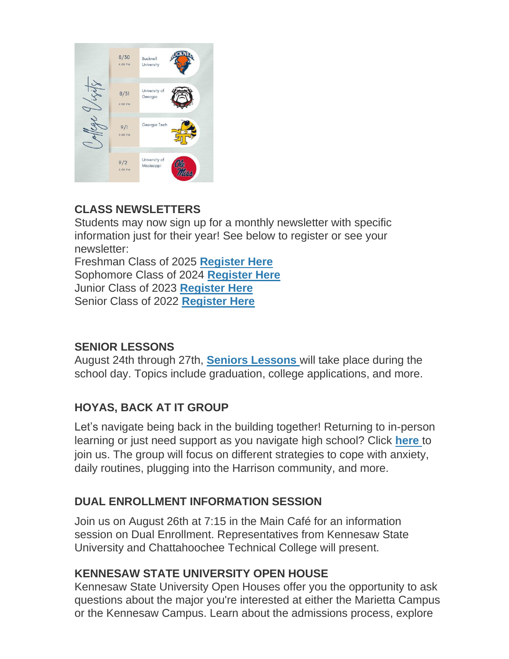

#### **CLASS NEWSLETTERS**

Students may now sign up for a monthly newsletter with specific information just for their year! See below to register or see your newsletter:

Freshman Class of 2025 **[Register Here](http://url503.cobbk12.org/ls/click?upn=Lr5Kj85exJaDj793QUoDMxoBFqYG9jsvxI4LoJlDFzMhUCpXbnVhhqIbIvVR7eDkW2lzE7udnvgKuQAcOzbNvqwOcyAOegilze8a86prJ3frgbJArpe-2Bu9kCda-2FHphK4YS3syaEi6KXoq5ecEB9E0ne7Np47MCHzPx514UIHtE2z1DtWvQSMAPs1SLFsz3LtfyD5_W-2BfLYUoUwwI1tuGClKRhhPOSepcZIFoXnUIMjiA717kQ1i13BNQTwwJ9cl-2BWArXrjMDzmdYDAz26vF1M-2BNMQluQruQ2-2F6ad1LvcMTsaAKq0CXTWt15JCS2R2WiNCTVPcWH6-2FmhxEPmzuw01oPUJ2CedavV94xwnHuuq8bwDf8LucbLbJJU4oeUxhry-2F6fxJY1cd3BwrvzoN0X8o637Bgprh7DkzxE-2BoFO5P4zAK2ldrYno8kchstBMCb0H9UaSRaMcrlynuxmN2v23QeKrA0Lw-3D-3D)** Sophomore Class of 2024 **[Register Here](http://url503.cobbk12.org/ls/click?upn=HU5K2q0Fz5ADTGboxPzOzV-2FXL0qE7BYVJk79MoYchrauedMvYHudRAftRA00KPmFHZOLKRfgjsRXY-2BcHASSl312-2FI8XajR6tsunOTcP2YhE-3Dbvz6_W-2BfLYUoUwwI1tuGClKRhhPOSepcZIFoXnUIMjiA717kQ1i13BNQTwwJ9cl-2BWArXrjMDzmdYDAz26vF1M-2BNMQluQruQ2-2F6ad1LvcMTsaAKq0CXTWt15JCS2R2WiNCTVPcgsrswJV2A-2BrXs3e0wKsZOX-2BOB-2Fq5w9d0aWC-2FDYS3YZOOuSSVwh9n8ZUn3TY4mLYSPS9NtWY-2B-2F6DMszvAIpJ-2BPy7PO8-2FZJfced-2BLsYrtnqbYMb6VX2KEwnhKFjM8F3tgcNlrxqVvNGx0ksNubD-2F0TCw-3D-3D)** Junior Class of 2023 **[Register Here](http://url503.cobbk12.org/ls/click?upn=HU5K2q0Fz5ADTGboxPzOzc-2FmDrLeRPv-2F5f6cytuJSxI0trpBiz9UDAwo-2Bcb69f-2BotMmx4AwlG5hn6eMqzvsNDsYVvUofQRcF3tP7lqOzjVNqfGZzo2pBbv9178J2dZt2supnlVwvxbV-2B2CZdWNWDsw-3D-3DrBV0_W-2BfLYUoUwwI1tuGClKRhhPOSepcZIFoXnUIMjiA717kQ1i13BNQTwwJ9cl-2BWArXrjMDzmdYDAz26vF1M-2BNMQluQruQ2-2F6ad1LvcMTsaAKq0CXTWt15JCS2R2WiNCTVPcAERy0xeMX3XBObJc8EAMZaDmoVlABqIohfIet4b9UA1oNBYky7ONmVar4z8MWspEtTubhA2iBWoSWjQGAGDnE5NgyQfGNaGy0y-2B7S1cJ8EHJkVV9RugMlU41E5yPsZSSzKwnW-2FdU7sKX0OPsvBUdeA-3D-3D)** Senior Class of 2022 **[Register Here](http://url503.cobbk12.org/ls/click?upn=Lr5Kj85exJaDj793QUoDMxoBFqYG9jsvxI4LoJlDFzMhUCpXbnVhhqIbIvVR7eDkW2lzE7udnvgKuQAcOzbNvqwOcyAOegilze8a86prJ3dDt6tBPLENBJTdrQCUrueLZgINQSeok4wIPB8t7DObpshp395kKSQ2QJBawc2T6bK-2FQpKcY6cz3X5556wmPmprP16O_W-2BfLYUoUwwI1tuGClKRhhPOSepcZIFoXnUIMjiA717kQ1i13BNQTwwJ9cl-2BWArXrjMDzmdYDAz26vF1M-2BNMQluQruQ2-2F6ad1LvcMTsaAKq0CXTWt15JCS2R2WiNCTVPcbYt-2FDatJmjzr3efKEP-2F-2BdKz4jNB-2F-2BIdca1kTRCpnO7ctpfAsOZ42M6OZ0SG6sLmYvE2b-2BNVXUdD-2FV2JWxAEhz5tehZ7WkjWQOaeUwW6FLGXTBlXmenhGnLYk9gzxxaZhG7q1l1epHDPfKL-2FgslpxEw-3D-3D)**

#### **SENIOR LESSONS**

August 24th through 27th, **[Seniors Lessons](http://url503.cobbk12.org/ls/click?upn=HU5K2q0Fz5ADTGboxPzOzV-2FXL0qE7BYVJk79MoYchratyNlzH0HjYRww-2FBlkj1T62abs7ISFuDMrBH1bbFjzDk0eMBWNdNzFt-2FY67SRM-2F-2Fz1GuP5Be3Edtwg94n8OaY0LkBX_W-2BfLYUoUwwI1tuGClKRhhPOSepcZIFoXnUIMjiA717kQ1i13BNQTwwJ9cl-2BWArXrjMDzmdYDAz26vF1M-2BNMQluQruQ2-2F6ad1LvcMTsaAKq0CXTWt15JCS2R2WiNCTVPcXRzBi6-2BRlfKSOONHjBEcGZB416IpoG-2FVzKOqpGzmLNJyzLMp6dGfvQnnD5Mwd8fdzLdkpEYiVoPID5ha1NnzLG02x4dWwATY-2B-2B5dJKSJio07Pm6egeECHbTgwiMVe-2Bvwq0Ll-2F-2F2afn2MN-2FiZA90uCA-3D-3D)** will take place during the school day. Topics include graduation, college applications, and more.

#### **HOYAS, BACK AT IT GROUP**

Let's navigate being back in the building together! Returning to in-person learning or just need support as you navigate high school? Click **[here](http://url503.cobbk12.org/ls/click?upn=Lr5Kj85exJaDj793QUoDMxoBFqYG9jsvxI4LoJlDFzMhUCpXbnVhhqIbIvVR7eDkW2lzE7udnvgKuQAcOzbNvqwOcyAOegilze8a86prJ3c6419VojaHWh3MTfRUqR09J1SBwpAilWUpmpdMa12f1jZgurvOJ2fjzMYAdmDxVToiiE-2FK9p8CzWdLm5OV6iE1NRdtg3vcahvcsulFHv0gAw-3D-3DbdLF_W-2BfLYUoUwwI1tuGClKRhhPOSepcZIFoXnUIMjiA717kQ1i13BNQTwwJ9cl-2BWArXrjMDzmdYDAz26vF1M-2BNMQluQruQ2-2F6ad1LvcMTsaAKq0CXTWt15JCS2R2WiNCTVPcBD5PmNPknEjtL3PV6fWyM04AwEXV5NXFmDev89vKmVkkkJ00E9TIQjybQZeqJGBAvHXGkFTl8fTIOQMLVuURrE-2FI39coECbSzL4oVV-2FNUYU-2BeW8IjrOgVBPtlBGjmp0VmDI4AUBlix4xHwf9mD6xDA-3D-3D)** to join us. The group will focus on different strategies to cope with anxiety, daily routines, plugging into the Harrison community, and more.

#### **DUAL ENROLLMENT INFORMATION SESSION**

Join us on August 26th at 7:15 in the Main Café for an information session on Dual Enrollment. Representatives from Kennesaw State University and Chattahoochee Technical College will present.

#### **KENNESAW STATE UNIVERSITY OPEN HOUSE**

Kennesaw State University Open Houses offer you the opportunity to ask questions about the major you're interested at either the Marietta Campus or the Kennesaw Campus. Learn about the admissions process, explore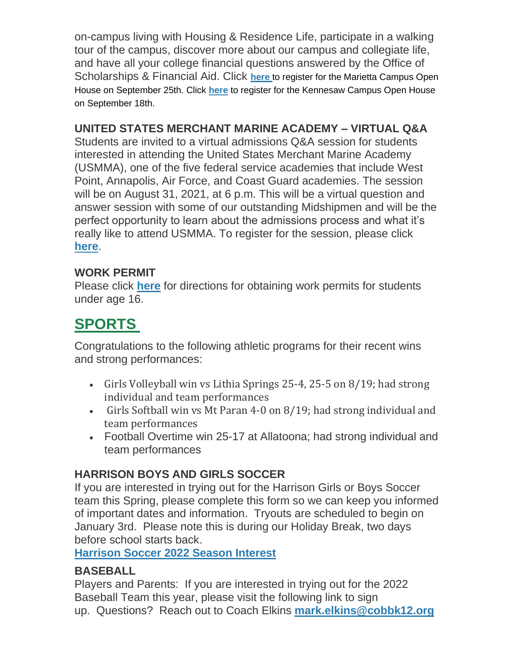on-campus living with Housing & Residence Life, participate in a walking tour of the campus, discover more about our campus and collegiate life, and have all your college financial questions answered by the Office of Scholarships & Financial Aid. Click **[here](http://url503.cobbk12.org/ls/click?upn=eEvVAr3vSvIu8v5B-2B6P-2BDWyOLXFkjC6ipoPmb4BNsA9okFew-2FX5V-2FTk4DX-2BFMZ7yZMyIn0bTmoB6p3gZKVLh0h5ACCa4Yi46hzQC4LDdIQw33UuQqKALB9lrNp9Hobpf11aEyfUFg4y-2F01kTsfWgrw-3D-3DDND9_W-2BfLYUoUwwI1tuGClKRhhPOSepcZIFoXnUIMjiA717kQ1i13BNQTwwJ9cl-2BWArXrjMDzmdYDAz26vF1M-2BNMQluQruQ2-2F6ad1LvcMTsaAKq0CXTWt15JCS2R2WiNCTVPcctFmpt-2FhsZFgz8m-2FXLTefrYUoggnftecCb-2FkYVhobX7-2FqbP397Np3rXSAv37sWsNtv8qVZ6er2rQRRUsbGffi-2BuGDQ-2FPTYokYoFIQkSlt8FNrb-2FWcnvv8kqa8xQCLjeMVLiN1nMCZGpVWD3Dl1e4MQ-3D-3D)** to register for the Marietta Campus Open House on September 25th. Click **[here](http://url503.cobbk12.org/ls/click?upn=eEvVAr3vSvIu8v5B-2B6P-2BDWyOLXFkjC6ipoPmb4BNsA9okFew-2FX5V-2FTk4DX-2BFMZ7yZMyIn0bTmoB6p3gZKVLh0h5ACCa4Yi46hzQC4LDdIQw33UuQqKALB9lrNp9HobpfM-2BDvkqsRQ03URBKvOdNOrA-3D-3D3goa_W-2BfLYUoUwwI1tuGClKRhhPOSepcZIFoXnUIMjiA717kQ1i13BNQTwwJ9cl-2BWArXrjMDzmdYDAz26vF1M-2BNMQluQruQ2-2F6ad1LvcMTsaAKq0CXTWt15JCS2R2WiNCTVPcfUO2lMzqTV2HY-2FaUs50Fr7W7LaeciRAUSb-2FEk8TLyEUQMX5iS13akyHuXc84k6XGGY40G-2F-2B0nEPDBR4xtP7EBgm2NaL0k8oX-2FCMWYMaBdARuz5UdRLI-2B6wsAGGeaTXbGY5ocWfdSiSG3XSoIXprDHw-3D-3D)** to register for the Kennesaw Campus Open House on September 18th.

#### **UNITED STATES MERCHANT MARINE ACADEMY – VIRTUAL Q&A**

Students are invited to a virtual admissions Q&A session for students interested in attending the United States Merchant Marine Academy (USMMA), one of the five federal service academies that include West Point, Annapolis, Air Force, and Coast Guard academies. The session will be on August 31, 2021, at 6 p.m. This will be a virtual question and answer session with some of our outstanding Midshipmen and will be the perfect opportunity to learn about the admissions process and what it's really like to attend USMMA. To register for the session, please click **[here](http://url503.cobbk12.org/ls/click?upn=LUI-2F8f4xtojWZMZFKeeLxq3XJOMTwPc42al5rUMTaApWiJzZ7XqaKh-2Fxb94YaFGqQDvlTI2B51Vw4Bc-2FDHkYsmUsZUICwaUhgYP7AnghzVo-3D5VXt_W-2BfLYUoUwwI1tuGClKRhhPOSepcZIFoXnUIMjiA717kQ1i13BNQTwwJ9cl-2BWArXrjMDzmdYDAz26vF1M-2BNMQluQruQ2-2F6ad1LvcMTsaAKq0CXTWt15JCS2R2WiNCTVPcv4-2FMkO-2FLuBZ8QeWm0ELgbprKsDYRmKIKXZkoTz9WAzHURBUfKxJOHfWOWO-2B0QEXHXKVqzsT27CtLnhWOuLqGWQ12RLZnW8Vn260Z2pYmAkX9S7mQMIUCzUR3pBEkVvqOFnXaM7Bt9KNJspSMysg3Bw-3D-3D)**.

#### **WORK PERMIT**

Please click **[here](http://url503.cobbk12.org/ls/click?upn=HU5K2q0Fz5ADTGboxPzOzV-2FXL0qE7BYVJk79MoYchragV5467tisWoPAB9agzSUHDsbqBYccGjiUhV-2FDTHAbpapsLFisWAfYtS-2FB87HhzALBJIiH1yo6DrPdn5r31JRcdh7h_W-2BfLYUoUwwI1tuGClKRhhPOSepcZIFoXnUIMjiA717kQ1i13BNQTwwJ9cl-2BWArXrjMDzmdYDAz26vF1M-2BNMQluQruQ2-2F6ad1LvcMTsaAKq0CXTWt15JCS2R2WiNCTVPcOQeWa-2BULizDGp-2FSsxyviNqVmO6PWbNX6ZzLV3xVqWYEy-2F-2Fy-2B78V6dvYlxs-2FcXGeB0AZ0tmn5TGz4nxgUDFGhOfj8T8dFP72MVq0jTm9Xuoen-2BKkJeVSsbHFy59n2DSV5nu2k5wr4hxPjnkd59nbGhg-3D-3D)** for directions for obtaining work permits for students under age 16.

### **SPORTS**

Congratulations to the following athletic programs for their recent wins and strong performances:

- Girls Volleyball win vs Lithia Springs 25-4, 25-5 on 8/19; had strong individual and team performances
- Girls Softball win vs Mt Paran 4-0 on 8/19; had strong individual and team performances
- Football Overtime win 25-17 at Allatoona; had strong individual and team performances

#### **HARRISON BOYS AND GIRLS SOCCER**

If you are interested in trying out for the Harrison Girls or Boys Soccer team this Spring, please complete this form so we can keep you informed of important dates and information. Tryouts are scheduled to begin on January 3rd. Please note this is during our Holiday Break, two days before school starts back.

**[Harrison Soccer 2022 Season Interest](http://url503.cobbk12.org/ls/click?upn=Q-2BKaVIKfS2AqG1NntRWXIqe3VLrAF6HtQZXW1Eop37-2BHD1-2FJeBI8RcsNCzxppcBz0DlAzN5HVHa4jFBsYhEq-2FZKWsB3iNtsHw4Z5XJqTGc72hmHzmKKg4NHOq-2FMdFS-2BPFAc8zjlc4srPGK983W1UhlnLKOyaAWxAV6iaf6e8cGb9Ws5YsW6cbu7jxNYJB0Fw3gU8sntLk-2FwK04fzJMNAtGI6Q2gD-2B5zWjGOVeo3YlyGF4gUuQAV50pIp4pmBtAbsX7nxD8ts1TkRrqXP9lROXTqoK-2BLjEVift3E-2F1TsqRfXqFVjq1ZbaFdHlBGXROa1zlRNt-2BfS-2FGIP9ARHNQtC4MKtU-2FOD-2FIdsTq8FJcdrWhgJTZ2SY6vg8MCFdwudDiwtvTQAIoaJPaZAfcO0sWPTLGUYbcbJ2udULkQyax8h7jdytBwr4PbjmJ9-2BkYegJwUi3o8GlttiOa9gwjzUvgCso54sVet1TZZAId6iUQBanfpA9Mj6b1RIB3TCqU4HBiwd8hJnetFvIU0iydE7wOo4Mra7LkREK4oUh6ylSJ0WskUkEak1MKXMKBK9ZNXxItjunogd5VU-2BClUIYqPY-2Fo4JmvsHEfq63UG9NwT8LjTo9tALAHHgNO4qGdhsZgn9PCcKElnvKFe36pf5u3XZ2SFqtJNjXl6mpJr6tqMUz58s-2BMHJe7Xf9dv4B2AKM6hkFk1qanFFb_W-2BfLYUoUwwI1tuGClKRhhPOSepcZIFoXnUIMjiA717kQ1i13BNQTwwJ9cl-2BWArXrjMDzmdYDAz26vF1M-2BNMQluQruQ2-2F6ad1LvcMTsaAKq0CXTWt15JCS2R2WiNCTVPcff-2F6dVKNRJiP1bFyxjPP-2Be0N9KyFAPT4m-2FaNtUYf3ysT7Sqcmq6vJxSgtBz45RJgiHugqSQ5EKu0xUjpkRmSY-2FwgBp-2Bmwya0WoJ1Kj06aJRDaP49d2aOnnVWf-2FOG4Kk150AXGVwPfny0o-2F7nex0eHg-3D-3D)**

#### **BASEBALL**

Players and Parents: If you are interested in trying out for the 2022 Baseball Team this year, please visit the following link to sign up. Questions? Reach out to Coach Elkins **[mark.elkins@cobbk12.org](mailto:mark.elkins@cobbk12.org)**